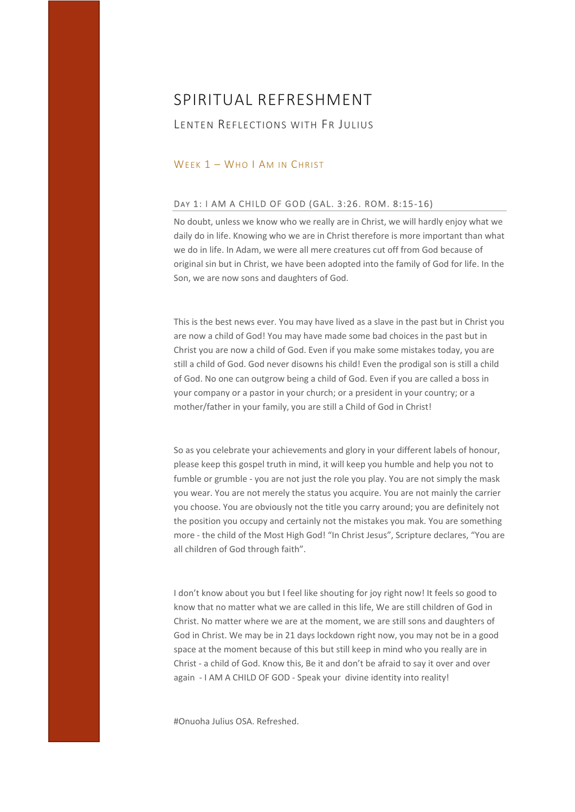## LENTEN REFLECTIONS WITH FR JULIUS

### WEEK 1 - WHO I AM IN CHRIST

#### DAY 1: I AM A CHILD OF GOD (GAL. 3:26. ROM. 8:15‐16)

No doubt, unless we know who we really are in Christ, we will hardly enjoy what we daily do in life. Knowing who we are in Christ therefore is more important than what we do in life. In Adam, we were all mere creatures cut off from God because of original sin but in Christ, we have been adopted into the family of God for life. In the Son, we are now sons and daughters of God.

This is the best news ever. You may have lived as a slave in the past but in Christ you are now a child of God! You may have made some bad choices in the past but in Christ you are now a child of God. Even if you make some mistakes today, you are still a child of God. God never disowns his child! Even the prodigal son is still a child of God. No one can outgrow being a child of God. Even if you are called a boss in your company or a pastor in your church; or a president in your country; or a mother/father in your family, you are still a Child of God in Christ!

So as you celebrate your achievements and glory in your different labels of honour, please keep this gospel truth in mind, it will keep you humble and help you not to fumble or grumble - you are not just the role you play. You are not simply the mask you wear. You are not merely the status you acquire. You are not mainly the carrier you choose. You are obviously not the title you carry around; you are definitely not the position you occupy and certainly not the mistakes you mak. You are something more - the child of the Most High God! "In Christ Jesus", Scripture declares, "You are all children of God through faith".

I don't know about you but I feel like shouting for joy right now! It feels so good to know that no matter what we are called in this life, We are still children of God in Christ. No matter where we are at the moment, we are still sons and daughters of God in Christ. We may be in 21 days lockdown right now, you may not be in a good space at the moment because of this but still keep in mind who you really are in Christ ‐ a child of God. Know this, Be it and don't be afraid to say it over and over again ‐ I AM A CHILD OF GOD ‐ Speak your divine identity into reality!

#Onuoha Julius OSA. Refreshed.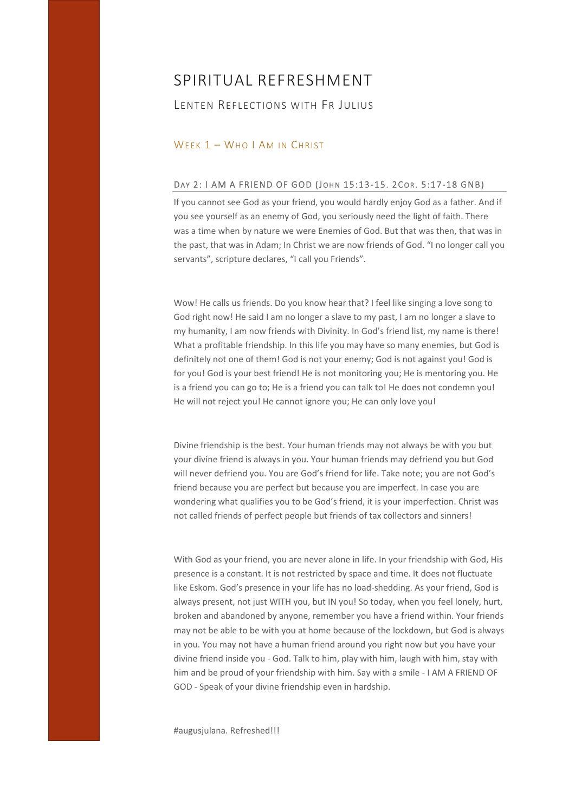## LENTEN REFLECTIONS WITH FR JULIUS

### WEEK 1 - WHO I AM IN CHRIST

#### DAY 2: I AM A FRIEND OF GOD (JOHN 15:13-15. 2COR. 5:17-18 GNB)

If you cannot see God as your friend, you would hardly enjoy God as a father. And if you see yourself as an enemy of God, you seriously need the light of faith. There was a time when by nature we were Enemies of God. But that was then, that was in the past, that was in Adam; In Christ we are now friends of God. "I no longer call you servants", scripture declares, "I call you Friends".

Wow! He calls us friends. Do you know hear that? I feel like singing a love song to God right now! He said I am no longer a slave to my past, I am no longer a slave to my humanity, I am now friends with Divinity. In God's friend list, my name is there! What a profitable friendship. In this life you may have so many enemies, but God is definitely not one of them! God is not your enemy; God is not against you! God is for you! God is your best friend! He is not monitoring you; He is mentoring you. He is a friend you can go to; He is a friend you can talk to! He does not condemn you! He will not reject you! He cannot ignore you; He can only love you!

Divine friendship is the best. Your human friends may not always be with you but your divine friend is always in you. Your human friends may defriend you but God will never defriend you. You are God's friend for life. Take note; you are not God's friend because you are perfect but because you are imperfect. In case you are wondering what qualifies you to be God's friend, it is your imperfection. Christ was not called friends of perfect people but friends of tax collectors and sinners!

With God as your friend, you are never alone in life. In your friendship with God, His presence is a constant. It is not restricted by space and time. It does not fluctuate like Eskom. God's presence in your life has no load‐shedding. As your friend, God is always present, not just WITH you, but IN you! So today, when you feel lonely, hurt, broken and abandoned by anyone, remember you have a friend within. Your friends may not be able to be with you at home because of the lockdown, but God is always in you. You may not have a human friend around you right now but you have your divine friend inside you ‐ God. Talk to him, play with him, laugh with him, stay with him and be proud of your friendship with him. Say with a smile ‐ I AM A FRIEND OF GOD ‐ Speak of your divine friendship even in hardship.

#augusjulana. Refreshed!!!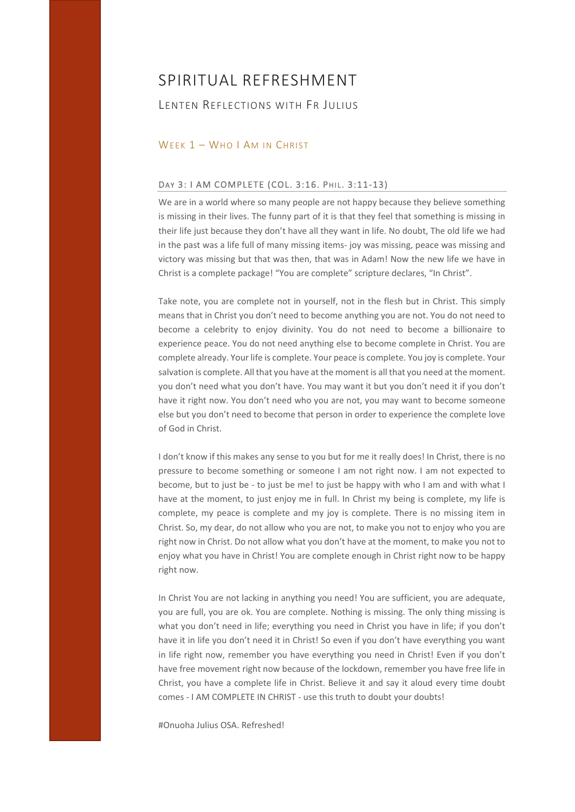## LENTEN REFLECTIONS WITH FR JULIUS

#### WEEK 1 - WHO I AM IN CHRIST

### DAY 3: I AM COMPLETE (COL. 3:16. PHIL. 3:11-13)

We are in a world where so many people are not happy because they believe something is missing in their lives. The funny part of it is that they feel that something is missing in their life just because they don't have all they want in life. No doubt, The old life we had in the past was a life full of many missing items‐ joy was missing, peace was missing and victory was missing but that was then, that was in Adam! Now the new life we have in Christ is a complete package! "You are complete" scripture declares, "In Christ".

Take note, you are complete not in yourself, not in the flesh but in Christ. This simply means that in Christ you don't need to become anything you are not. You do not need to become a celebrity to enjoy divinity. You do not need to become a billionaire to experience peace. You do not need anything else to become complete in Christ. You are complete already. Your life is complete. Your peace is complete. You joy is complete. Your salvation is complete. All that you have at the moment is all that you need at the moment. you don't need what you don't have. You may want it but you don't need it if you don't have it right now. You don't need who you are not, you may want to become someone else but you don't need to become that person in order to experience the complete love of God in Christ.

I don't know if this makes any sense to you but for me it really does! In Christ, there is no pressure to become something or someone I am not right now. I am not expected to become, but to just be - to just be me! to just be happy with who I am and with what I have at the moment, to just enjoy me in full. In Christ my being is complete, my life is complete, my peace is complete and my joy is complete. There is no missing item in Christ. So, my dear, do not allow who you are not, to make you not to enjoy who you are right now in Christ. Do not allow what you don't have at the moment, to make you not to enjoy what you have in Christ! You are complete enough in Christ right now to be happy right now.

In Christ You are not lacking in anything you need! You are sufficient, you are adequate, you are full, you are ok. You are complete. Nothing is missing. The only thing missing is what you don't need in life; everything you need in Christ you have in life; if you don't have it in life you don't need it in Christ! So even if you don't have everything you want in life right now, remember you have everything you need in Christ! Even if you don't have free movement right now because of the lockdown, remember you have free life in Christ, you have a complete life in Christ. Believe it and say it aloud every time doubt comes ‐ I AM COMPLETE IN CHRIST ‐ use this truth to doubt your doubts!

#Onuoha Julius OSA. Refreshed!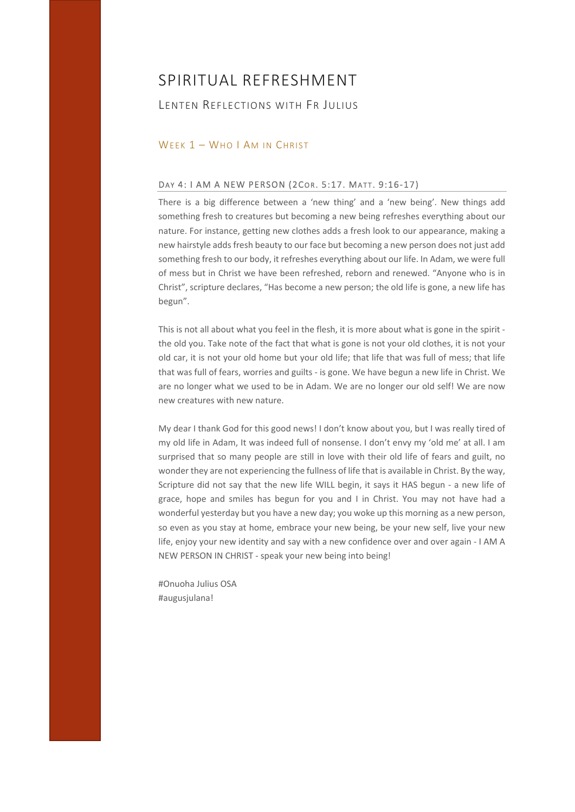## LENTEN REFLECTIONS WITH FR JULIUS

### WEEK 1 - WHO I AM IN CHRIST

#### DAY 4: I AM A NEW PERSON (2COR. 5:17. MATT. 9:16-17)

There is a big difference between a 'new thing' and a 'new being'. New things add something fresh to creatures but becoming a new being refreshes everything about our nature. For instance, getting new clothes adds a fresh look to our appearance, making a new hairstyle adds fresh beauty to our face but becoming a new person does not just add something fresh to our body, it refreshes everything about our life. In Adam, we were full of mess but in Christ we have been refreshed, reborn and renewed. "Anyone who is in Christ", scripture declares, "Has become a new person; the old life is gone, a new life has begun".

This is not all about what you feel in the flesh, it is more about what is gone in the spirit the old you. Take note of the fact that what is gone is not your old clothes, it is not your old car, it is not your old home but your old life; that life that was full of mess; that life that was full of fears, worries and guilts ‐ is gone. We have begun a new life in Christ. We are no longer what we used to be in Adam. We are no longer our old self! We are now new creatures with new nature.

My dear I thank God for this good news! I don't know about you, but I was really tired of my old life in Adam, It was indeed full of nonsense. I don't envy my 'old me' at all. I am surprised that so many people are still in love with their old life of fears and guilt, no wonder they are not experiencing the fullness of life that is available in Christ. By the way, Scripture did not say that the new life WILL begin, it says it HAS begun - a new life of grace, hope and smiles has begun for you and I in Christ. You may not have had a wonderful yesterday but you have a new day; you woke up this morning as a new person, so even as you stay at home, embrace your new being, be your new self, live your new life, enjoy your new identity and say with a new confidence over and over again ‐ I AM A NEW PERSON IN CHRIST ‐ speak your new being into being!

#Onuoha Julius OSA #augusjulana!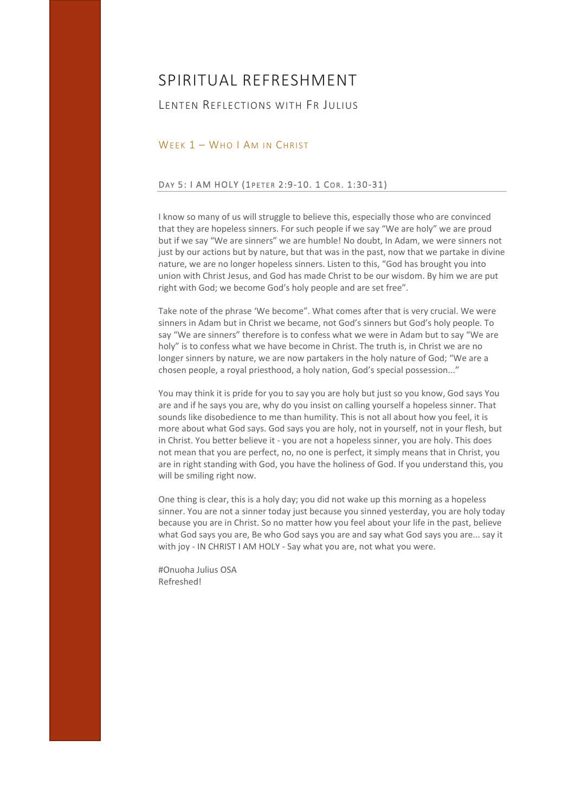## LENTEN REFLECTIONS WITH FR JULIUS

### WEEK 1 - WHO I AM IN CHRIST

#### DAY 5: I AM HOLY (1PETER 2:9-10. 1 COR. 1:30-31)

I know so many of us will struggle to believe this, especially those who are convinced that they are hopeless sinners. For such people if we say "We are holy" we are proud but if we say "We are sinners" we are humble! No doubt, In Adam, we were sinners not just by our actions but by nature, but that was in the past, now that we partake in divine nature, we are no longer hopeless sinners. Listen to this, "God has brought you into union with Christ Jesus, and God has made Christ to be our wisdom. By him we are put right with God; we become God's holy people and are set free".

Take note of the phrase 'We become". What comes after that is very crucial. We were sinners in Adam but in Christ we became, not God's sinners but God's holy people. To say "We are sinners" therefore is to confess what we were in Adam but to say "We are holy" is to confess what we have become in Christ. The truth is, in Christ we are no longer sinners by nature, we are now partakers in the holy nature of God; "We are a chosen people, a royal priesthood, a holy nation, God's special possession..."

You may think it is pride for you to say you are holy but just so you know, God says You are and if he says you are, why do you insist on calling yourself a hopeless sinner. That sounds like disobedience to me than humility. This is not all about how you feel, it is more about what God says. God says you are holy, not in yourself, not in your flesh, but in Christ. You better believe it ‐ you are not a hopeless sinner, you are holy. This does not mean that you are perfect, no, no one is perfect, it simply means that in Christ, you are in right standing with God, you have the holiness of God. If you understand this, you will be smiling right now.

One thing is clear, this is a holy day; you did not wake up this morning as a hopeless sinner. You are not a sinner today just because you sinned yesterday, you are holy today because you are in Christ. So no matter how you feel about your life in the past, believe what God says you are, Be who God says you are and say what God says you are... say it with joy - IN CHRIST I AM HOLY - Say what you are, not what you were.

#Onuoha Julius OSA Refreshed!